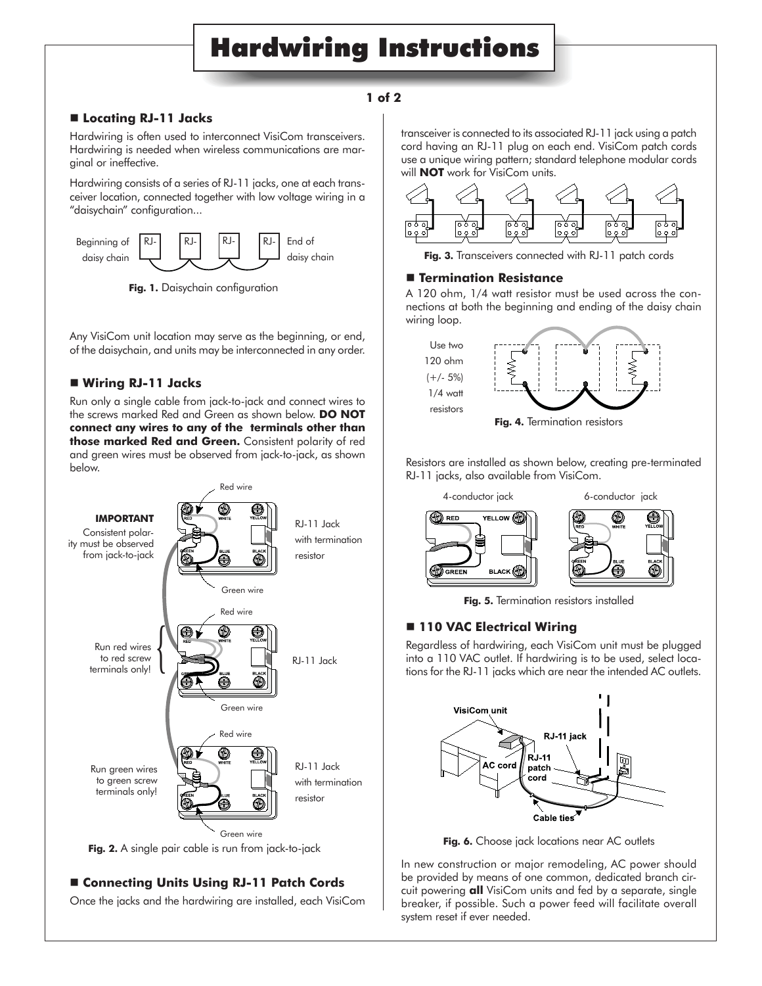# Hardwiring Instructions

## **1 of 2**

## **Locating RJ-11 Jacks**

Hardwiring is often used to interconnect VisiCom transceivers. Hardwiring is needed when wireless communications are marginal or ineffective.

Hardwiring consists of a series of RJ-11 jacks, one at each transceiver location, connected together with low voltage wiring in a "daisychain" configuration...



**Fig. 1.** Daisychain configuration

Any VisiCom unit location may serve as the beginning, or end, of the daisychain, and units may be interconnected in any order.

## **Wiring RJ-11 Jacks**

Run only a single cable from jack-to-jack and connect wires to the screws marked Red and Green as shown below. **DO NOT connect any wires to any of the terminals other than those marked Red and Green.** Consistent polarity of red and green wires must be observed from jack-to-jack, as shown below.



# **Connecting Units Using RJ-11 Patch Cords**

Once the jacks and the hardwiring are installed, each VisiCom

transceiver is connected to its associated RJ-11 jack using a patch cord having an RJ-11 plug on each end. VisiCom patch cords use a unique wiring pattern; standard telephone modular cords will **NOT** work for VisiCom units.



**Fig. 3.** Transceivers connected with RJ-11 patch cords

### **Termination Resistance**

A 120 ohm, 1/4 watt resistor must be used across the connections at both the beginning and ending of the daisy chain wiring loop.



Resistors are installed as shown below, creating pre-terminated RJ-11 jacks, also available from VisiCom.



**Fig. 5.** Termination resistors installed

# **110 VAC Electrical Wiring**

Regardless of hardwiring, each VisiCom unit must be plugged into a 110 VAC outlet. If hardwiring is to be used, select locations for the RJ-11 jacks which are near the intended AC outlets.



**Fig. 6.** Choose jack locations near AC outlets

In new construction or major remodeling, AC power should be provided by means of one common, dedicated branch circuit powering **all** VisiCom units and fed by a separate, single breaker, if possible. Such a power feed will facilitate overall system reset if ever needed.